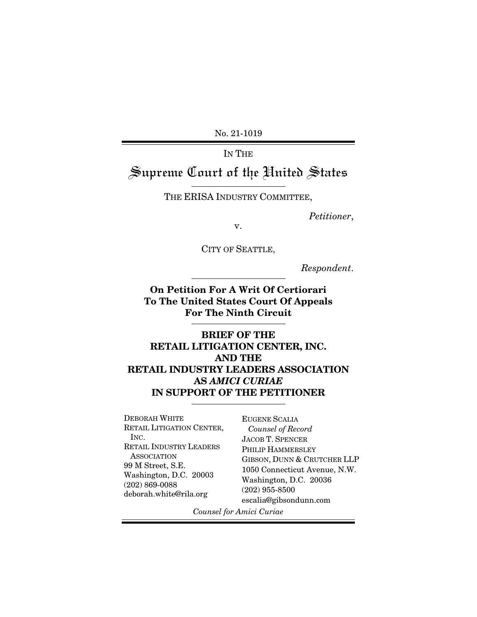No. 21-1019

IN THE Supreme Court of the United States

THE ERISA INDUSTRY COMMITTEE,

*Petitioner*,

v.

CITY OF SEATTLE,

*Respondent*.

**On Petition For A Writ Of Certiorari To The United States Court Of Appeals For The Ninth Circuit** 

**BRIEF OF THE RETAIL LITIGATION CENTER, INC. AND THE RETAIL INDUSTRY LEADERS ASSOCIATION AS** *AMICI CURIAE*  **IN SUPPORT OF THE PETITIONER**

DEBORAH WHITE RETAIL LITIGATION CENTER, INC. RETAIL INDUSTRY LEADERS ASSOCIATION 99 M Street, S.E. Washington, D.C. 20003 (202) 869-0088 deborah.white@rila.org

EUGENE SCALIA  *Counsel of Record*  JACOB T. SPENCER PHILIP HAMMERSLEY GIBSON, DUNN & CRUTCHER LLP 1050 Connecticut Avenue, N.W. Washington, D.C. 20036 (202) 955-8500 escalia@gibsondunn.com

*Counsel for Amici Curiae*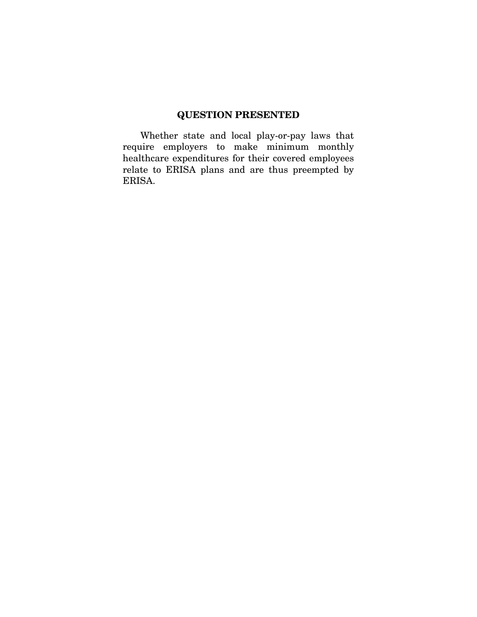## **QUESTION PRESENTED**

Whether state and local play-or-pay laws that require employers to make minimum monthly healthcare expenditures for their covered employees relate to ERISA plans and are thus preempted by ERISA.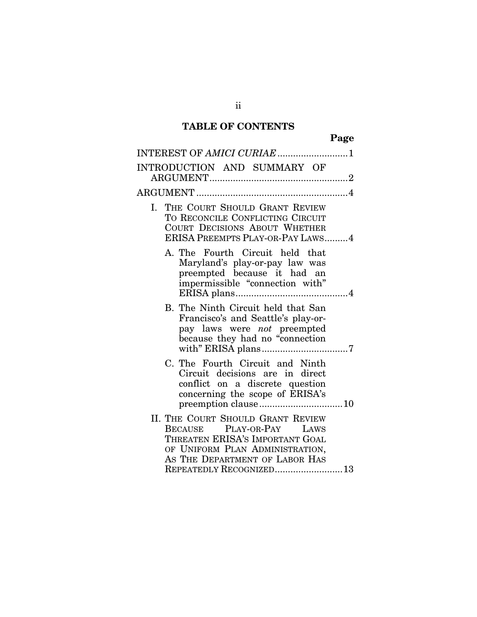# **TABLE OF CONTENTS**

| INTEREST OF AMICI CURIAE 1                                                                                                                                                                                 |
|------------------------------------------------------------------------------------------------------------------------------------------------------------------------------------------------------------|
| INTRODUCTION AND SUMMARY OF                                                                                                                                                                                |
|                                                                                                                                                                                                            |
| I. THE COURT SHOULD GRANT REVIEW<br>TO RECONCILE CONFLICTING CIRCUIT<br>COURT DECISIONS ABOUT WHETHER<br>ERISA PREEMPTS PLAY-OR-PAY LAWS4                                                                  |
| A. The Fourth Circuit held that<br>Maryland's play-or-pay law was<br>preempted because it had an<br>impermissible "connection with"                                                                        |
| B. The Ninth Circuit held that San<br>Francisco's and Seattle's play-or-<br>pay laws were <i>not</i> preempted<br>because they had no "connection                                                          |
| C. The Fourth Circuit and Ninth<br>Circuit decisions are in direct<br>conflict on a discrete question<br>concerning the scope of ERISA's<br>preemption clause10                                            |
| II. THE COURT SHOULD GRANT REVIEW<br>PLAY-OR-PAY LAWS<br><b>BECAUSE</b><br>THREATEN ERISA'S IMPORTANT GOAL<br>OF UNIFORM PLAN ADMINISTRATION,<br>AS THE DEPARTMENT OF LABOR HAS<br>REPEATEDLY RECOGNIZED13 |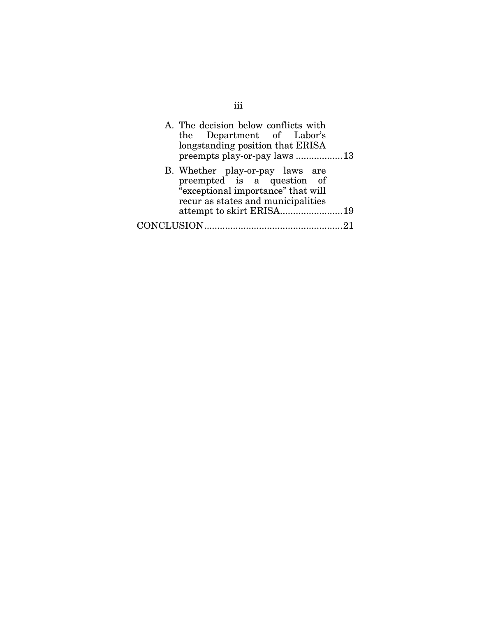| A. The decision below conflicts with<br>the Department of Labor's<br>longstanding position that ERISA<br>preempts play-or-pay laws 13     |  |
|-------------------------------------------------------------------------------------------------------------------------------------------|--|
| B. Whether play-or-pay laws are<br>preempted is a question of<br>"exceptional importance" that will<br>recur as states and municipalities |  |
|                                                                                                                                           |  |
| CONCLUSION.                                                                                                                               |  |

iii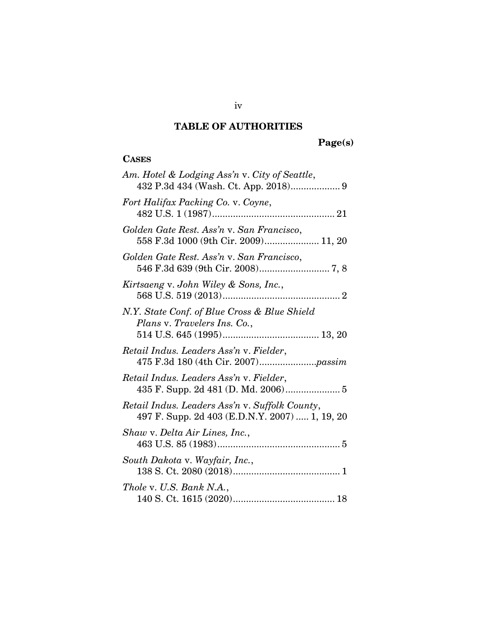# **TABLE OF AUTHORITIES**

# **Page(s)**

## **CASES**

| Am. Hotel & Lodging Ass'n v. City of Seattle,<br>432 P.3d 434 (Wash. Ct. App. 2018) 9            |
|--------------------------------------------------------------------------------------------------|
| Fort Halifax Packing Co. v. Coyne,                                                               |
| Golden Gate Rest. Ass'n v. San Francisco,<br>558 F.3d 1000 (9th Cir. 2009) 11, 20                |
| Golden Gate Rest. Ass'n v. San Francisco,                                                        |
| Kirtsaeng v. John Wiley & Sons, Inc.,                                                            |
| N.Y. State Conf. of Blue Cross & Blue Shield<br>Plans v. Travelers Ins. Co.,                     |
| Retail Indus. Leaders Ass'n v. Fielder,                                                          |
| Retail Indus. Leaders Ass'n v. Fielder,<br>435 F. Supp. 2d 481 (D. Md. 2006) 5                   |
| Retail Indus. Leaders Ass'n v. Suffolk County,<br>497 F. Supp. 2d 403 (E.D.N.Y. 2007)  1, 19, 20 |
| Shaw v. Delta Air Lines, Inc.,                                                                   |
| South Dakota v. Wayfair, Inc.,                                                                   |
| Thole v. U.S. Bank N.A.,                                                                         |

iv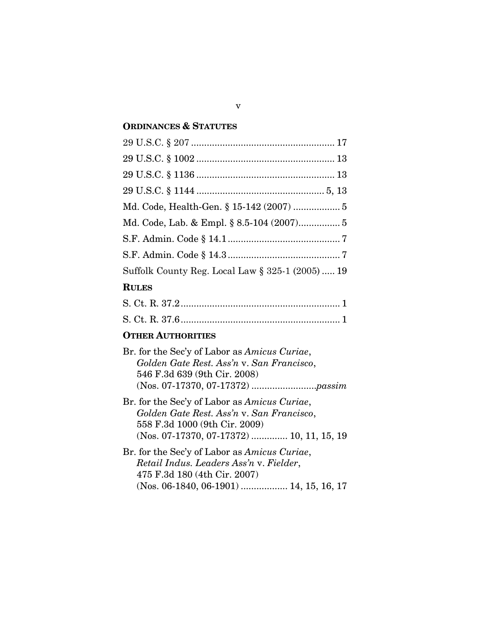#### **ORDINANCES & STATUTES**

| Suffolk County Reg. Local Law § 325-1 (2005)  19 |
|--------------------------------------------------|
| $\mathbf{R}$ III Fe $\mathbf{R}$                 |

#### **RULES**

## **OTHER AUTHORITIES**

| Br. for the Sec'y of Labor as Amicus Curiae, |
|----------------------------------------------|
| Golden Gate Rest. Ass'n v. San Francisco,    |
| 546 F.3d 639 (9th Cir. 2008)                 |
|                                              |
| Br. for the Sec'y of Labor as Amicus Curiae, |

- *Golden Gate Rest. Ass'n* v. *San Francisco*, 558 F.3d 1000 (9th Cir. 2009) (Nos. 07-17370, 07-17372) .............. 10, 11, 15, 19
- Br. for the Sec'y of Labor as *Amicus Curiae*, *Retail Indus. Leaders Ass'n* v. *Fielder*, 475 F.3d 180 (4th Cir. 2007) (Nos. 06-1840, 06-1901) .................. 14, 15, 16, 17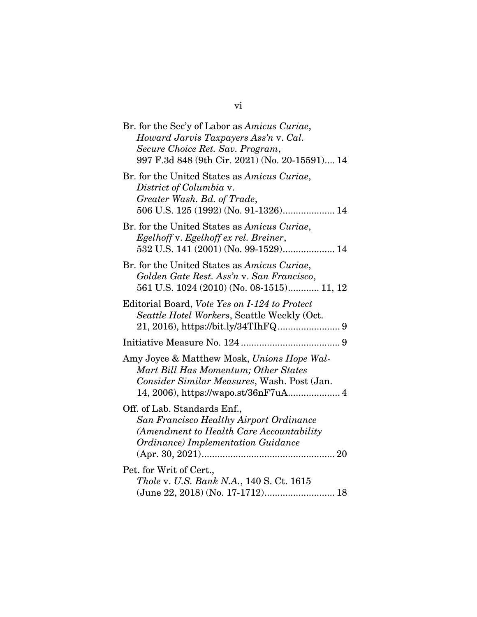| Br. for the Sec'y of Labor as Amicus Curiae,<br>Howard Jarvis Taxpayers Ass'n v. Cal.<br>Secure Choice Ret. Sav. Program,<br>997 F.3d 848 (9th Cir. 2021) (No. 20-15591) 14 |
|-----------------------------------------------------------------------------------------------------------------------------------------------------------------------------|
| Br. for the United States as Amicus Curiae,<br>District of Columbia v.<br>Greater Wash. Bd. of Trade,<br>506 U.S. 125 (1992) (No. 91-1326) 14                               |
| Br. for the United States as Amicus Curiae,<br>Egelhoff v. Egelhoff ex rel. Breiner,<br>532 U.S. 141 (2001) (No. 99-1529) 14                                                |
| Br. for the United States as Amicus Curiae,<br>Golden Gate Rest. Ass'n v. San Francisco,<br>561 U.S. 1024 (2010) (No. 08-1515) 11, 12                                       |
| Editorial Board, Vote Yes on I-124 to Protect<br>Seattle Hotel Workers, Seattle Weekly (Oct.                                                                                |
|                                                                                                                                                                             |
| Amy Joyce & Matthew Mosk, Unions Hope Wal-<br>Mart Bill Has Momentum; Other States<br>Consider Similar Measures, Wash. Post (Jan.                                           |
| Off. of Lab. Standards Enf.,<br>San Francisco Healthy Airport Ordinance<br>(Amendment to Health Care Accountability<br>Ordinance) Implementation Guidance                   |
| Pet. for Writ of Cert.,<br>Thole v. U.S. Bank N.A., 140 S. Ct. 1615<br>(June 22, 2018) (No. 17-1712) 18                                                                     |

vi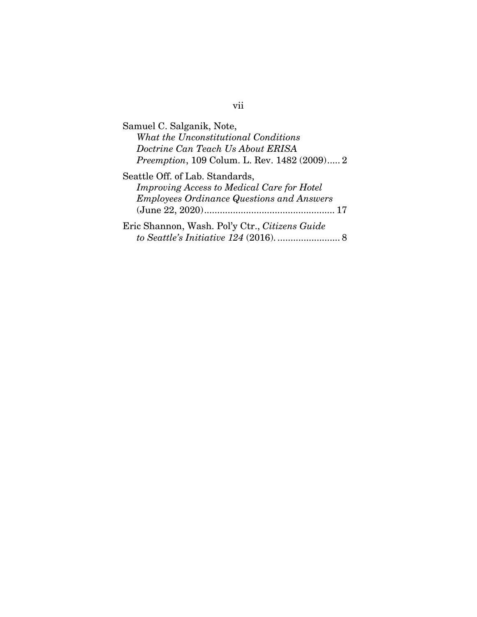| Samuel C. Salganik, Note,                            |
|------------------------------------------------------|
| What the Unconstitutional Conditions                 |
| Doctrine Can Teach Us About ERISA                    |
| <i>Preemption</i> , 109 Colum. L. Rev. 1482 (2009) 2 |
| Seattle Off. of Lab. Standards,                      |
| <b>Improving Access to Medical Care for Hotel</b>    |
| <b>Employees Ordinance Questions and Answers</b>     |
|                                                      |
| Eric Shannon, Wash. Pol'y Ctr., Citizens Guide       |
|                                                      |

# vii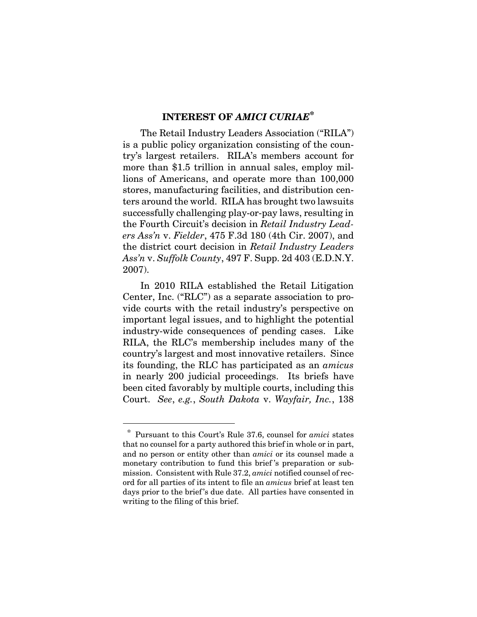## **INTEREST OF** *AMICI CURIAE***\***

The Retail Industry Leaders Association ("RILA") is a public policy organization consisting of the country's largest retailers. RILA's members account for more than \$1.5 trillion in annual sales, employ millions of Americans, and operate more than 100,000 stores, manufacturing facilities, and distribution centers around the world. RILA has brought two lawsuits successfully challenging play-or-pay laws, resulting in the Fourth Circuit's decision in *Retail Industry Leaders Ass'n* v. *Fielder*, 475 F.3d 180 (4th Cir. 2007), and the district court decision in *Retail Industry Leaders Ass'n* v. *Suffolk County*, 497 F. Supp. 2d 403 (E.D.N.Y. 2007).

In 2010 RILA established the Retail Litigation Center, Inc. ("RLC") as a separate association to provide courts with the retail industry's perspective on important legal issues, and to highlight the potential industry-wide consequences of pending cases. Like RILA, the RLC's membership includes many of the country's largest and most innovative retailers. Since its founding, the RLC has participated as an *amicus* in nearly 200 judicial proceedings. Its briefs have been cited favorably by multiple courts, including this Court. *See*, *e.g.*, *South Dakota* v. *Wayfair, Inc.*, 138

 $\overline{a}$ 

 <sup>\*</sup> Pursuant to this Court's Rule 37.6, counsel for *amici* states that no counsel for a party authored this brief in whole or in part, and no person or entity other than *amici* or its counsel made a monetary contribution to fund this brief 's preparation or submission. Consistent with Rule 37.2, *amici* notified counsel of record for all parties of its intent to file an *amicus* brief at least ten days prior to the brief's due date. All parties have consented in writing to the filing of this brief.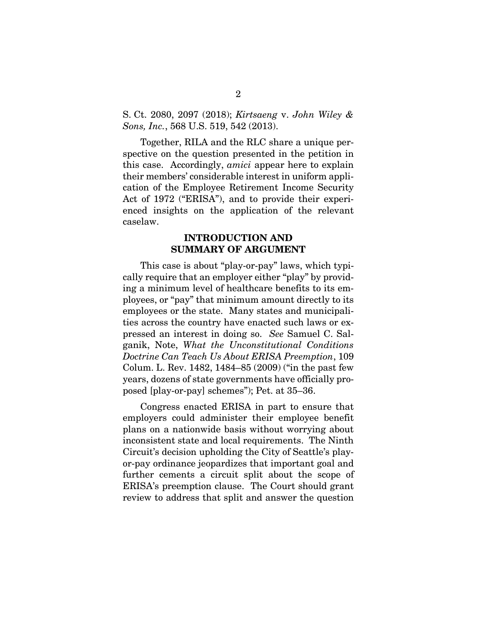S. Ct. 2080, 2097 (2018); *Kirtsaeng* v. *John Wiley & Sons, Inc.*, 568 U.S. 519, 542 (2013).

Together, RILA and the RLC share a unique perspective on the question presented in the petition in this case. Accordingly, *amici* appear here to explain their members' considerable interest in uniform application of the Employee Retirement Income Security Act of 1972 ("ERISA"), and to provide their experienced insights on the application of the relevant caselaw.

#### **INTRODUCTION AND SUMMARY OF ARGUMENT**

This case is about "play-or-pay" laws, which typically require that an employer either "play" by providing a minimum level of healthcare benefits to its employees, or "pay" that minimum amount directly to its employees or the state. Many states and municipalities across the country have enacted such laws or expressed an interest in doing so. *See* Samuel C. Salganik, Note, *What the Unconstitutional Conditions Doctrine Can Teach Us About ERISA Preemption*, 109 Colum. L. Rev. 1482, 1484–85 (2009) ("in the past few years, dozens of state governments have officially proposed [play-or-pay] schemes"); Pet. at 35–36.

Congress enacted ERISA in part to ensure that employers could administer their employee benefit plans on a nationwide basis without worrying about inconsistent state and local requirements. The Ninth Circuit's decision upholding the City of Seattle's playor-pay ordinance jeopardizes that important goal and further cements a circuit split about the scope of ERISA's preemption clause. The Court should grant review to address that split and answer the question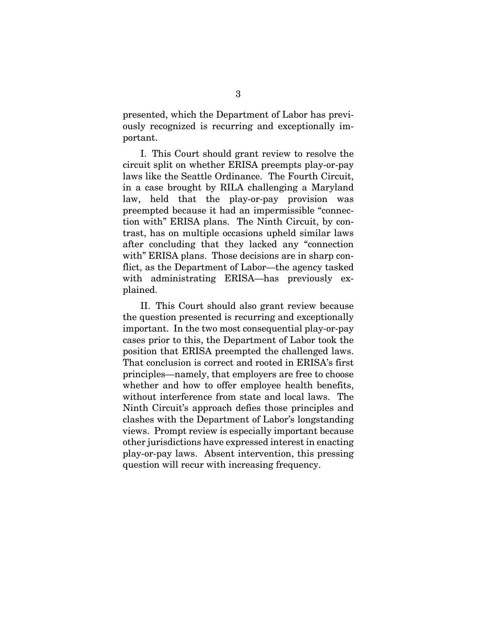presented, which the Department of Labor has previously recognized is recurring and exceptionally important.

I. This Court should grant review to resolve the circuit split on whether ERISA preempts play-or-pay laws like the Seattle Ordinance. The Fourth Circuit, in a case brought by RILA challenging a Maryland law, held that the play-or-pay provision was preempted because it had an impermissible "connection with" ERISA plans. The Ninth Circuit, by contrast, has on multiple occasions upheld similar laws after concluding that they lacked any "connection with" ERISA plans. Those decisions are in sharp conflict, as the Department of Labor—the agency tasked with administrating ERISA—has previously explained.

II. This Court should also grant review because the question presented is recurring and exceptionally important. In the two most consequential play-or-pay cases prior to this, the Department of Labor took the position that ERISA preempted the challenged laws. That conclusion is correct and rooted in ERISA's first principles—namely, that employers are free to choose whether and how to offer employee health benefits, without interference from state and local laws. The Ninth Circuit's approach defies those principles and clashes with the Department of Labor's longstanding views. Prompt review is especially important because other jurisdictions have expressed interest in enacting play-or-pay laws. Absent intervention, this pressing question will recur with increasing frequency.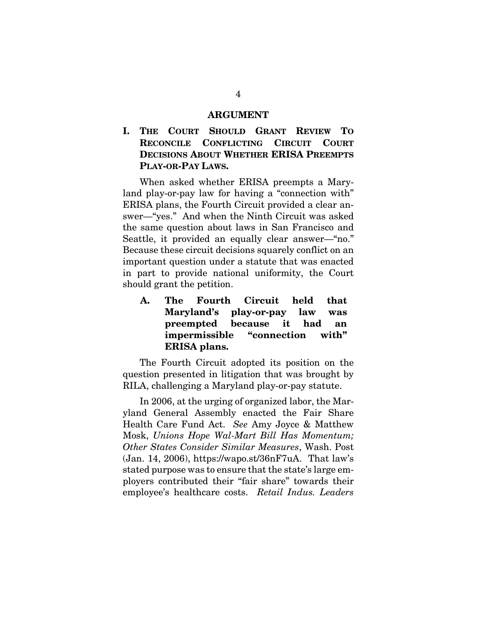#### **ARGUMENT**

## **I. THE COURT SHOULD GRANT REVIEW TO RECONCILE CONFLICTING CIRCUIT COURT DECISIONS ABOUT WHETHER ERISA PREEMPTS PLAY-OR-PAY LAWS.**

When asked whether ERISA preempts a Maryland play-or-pay law for having a "connection with" ERISA plans, the Fourth Circuit provided a clear answer—"yes." And when the Ninth Circuit was asked the same question about laws in San Francisco and Seattle, it provided an equally clear answer—"no." Because these circuit decisions squarely conflict on an important question under a statute that was enacted in part to provide national uniformity, the Court should grant the petition.

**A. The Fourth Circuit held that Maryland's play-or-pay law was preempted because it had an impermissible "connection with" ERISA plans.** 

The Fourth Circuit adopted its position on the question presented in litigation that was brought by RILA, challenging a Maryland play-or-pay statute.

In 2006, at the urging of organized labor, the Maryland General Assembly enacted the Fair Share Health Care Fund Act. *See* Amy Joyce & Matthew Mosk, *Unions Hope Wal-Mart Bill Has Momentum; Other States Consider Similar Measures*, Wash. Post (Jan. 14, 2006), https://wapo.st/36nF7uA. That law's stated purpose was to ensure that the state's large employers contributed their "fair share" towards their employee's healthcare costs. *Retail Indus. Leaders*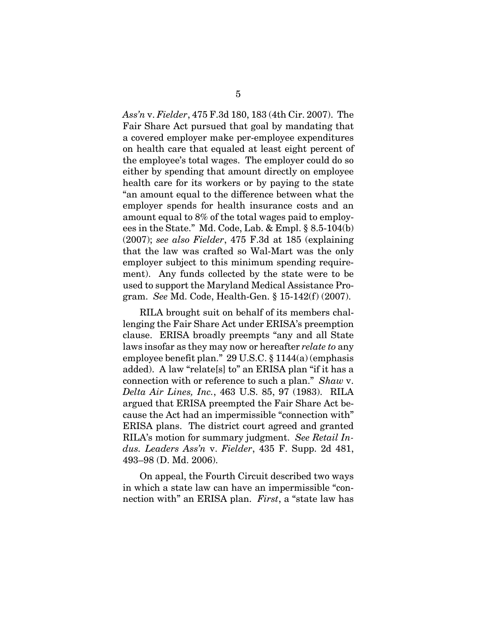*Ass'n* v. *Fielder*, 475 F.3d 180, 183 (4th Cir. 2007). The Fair Share Act pursued that goal by mandating that a covered employer make per-employee expenditures on health care that equaled at least eight percent of the employee's total wages. The employer could do so either by spending that amount directly on employee health care for its workers or by paying to the state "an amount equal to the difference between what the employer spends for health insurance costs and an amount equal to 8% of the total wages paid to employees in the State." Md. Code, Lab. & Empl. § 8.5-104(b) (2007); *see also Fielder*, 475 F.3d at 185 (explaining that the law was crafted so Wal-Mart was the only employer subject to this minimum spending requirement). Any funds collected by the state were to be used to support the Maryland Medical Assistance Program. *See* Md. Code, Health-Gen. § 15-142(f) (2007).

RILA brought suit on behalf of its members challenging the Fair Share Act under ERISA's preemption clause. ERISA broadly preempts "any and all State laws insofar as they may now or hereafter *relate to* any employee benefit plan." 29 U.S.C. § 1144(a) (emphasis added). A law "relate[s] to" an ERISA plan "if it has a connection with or reference to such a plan." *Shaw* v. *Delta Air Lines, Inc.*, 463 U.S. 85, 97 (1983). RILA argued that ERISA preempted the Fair Share Act because the Act had an impermissible "connection with" ERISA plans. The district court agreed and granted RILA's motion for summary judgment. *See Retail Indus. Leaders Ass'n* v. *Fielder*, 435 F. Supp. 2d 481, 493–98 (D. Md. 2006).

On appeal, the Fourth Circuit described two ways in which a state law can have an impermissible "connection with" an ERISA plan. *First*, a "state law has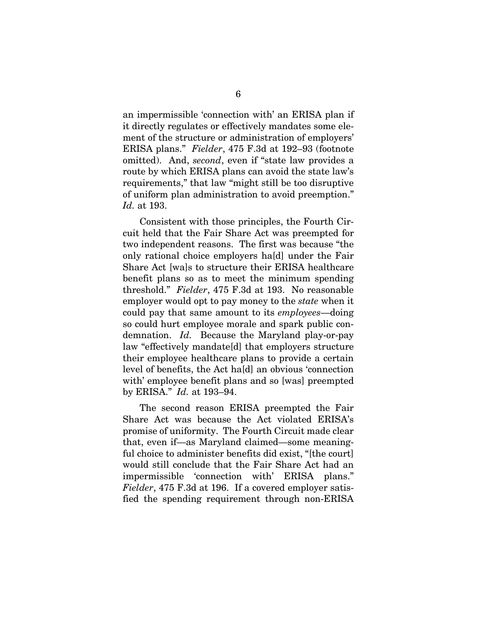an impermissible 'connection with' an ERISA plan if it directly regulates or effectively mandates some element of the structure or administration of employers' ERISA plans." *Fielder*, 475 F.3d at 192–93 (footnote omitted). And, *second*, even if "state law provides a route by which ERISA plans can avoid the state law's requirements," that law "might still be too disruptive of uniform plan administration to avoid preemption." *Id.* at 193.

Consistent with those principles, the Fourth Circuit held that the Fair Share Act was preempted for two independent reasons. The first was because "the only rational choice employers ha[d] under the Fair Share Act [wa]s to structure their ERISA healthcare benefit plans so as to meet the minimum spending threshold." *Fielder*, 475 F.3d at 193. No reasonable employer would opt to pay money to the *state* when it could pay that same amount to its *employees*—doing so could hurt employee morale and spark public condemnation. *Id.* Because the Maryland play-or-pay law "effectively mandate[d] that employers structure their employee healthcare plans to provide a certain level of benefits, the Act ha[d] an obvious 'connection with' employee benefit plans and so [was] preempted by ERISA." *Id.* at 193–94.

The second reason ERISA preempted the Fair Share Act was because the Act violated ERISA's promise of uniformity. The Fourth Circuit made clear that, even if—as Maryland claimed—some meaningful choice to administer benefits did exist, "[the court] would still conclude that the Fair Share Act had an impermissible 'connection with' ERISA plans." *Fielder*, 475 F.3d at 196. If a covered employer satisfied the spending requirement through non-ERISA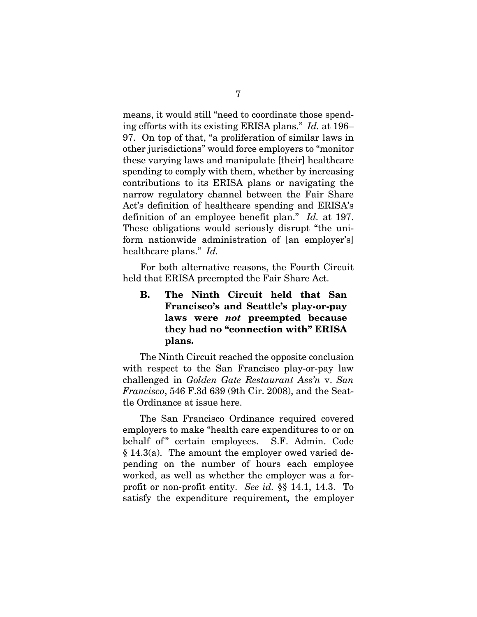means, it would still "need to coordinate those spending efforts with its existing ERISA plans." *Id.* at 196– 97. On top of that, "a proliferation of similar laws in other jurisdictions" would force employers to "monitor these varying laws and manipulate [their] healthcare spending to comply with them, whether by increasing contributions to its ERISA plans or navigating the narrow regulatory channel between the Fair Share Act's definition of healthcare spending and ERISA's definition of an employee benefit plan." *Id.* at 197. These obligations would seriously disrupt "the uniform nationwide administration of [an employer's] healthcare plans." *Id.*

For both alternative reasons, the Fourth Circuit held that ERISA preempted the Fair Share Act.

**B. The Ninth Circuit held that San Francisco's and Seattle's play-or-pay laws were** *not* **preempted because they had no "connection with" ERISA plans.** 

The Ninth Circuit reached the opposite conclusion with respect to the San Francisco play-or-pay law challenged in *Golden Gate Restaurant Ass'n* v. *San Francisco*, 546 F.3d 639 (9th Cir. 2008), and the Seattle Ordinance at issue here.

The San Francisco Ordinance required covered employers to make "health care expenditures to or on behalf of "certain employees. S.F. Admin. Code § 14.3(a). The amount the employer owed varied depending on the number of hours each employee worked, as well as whether the employer was a forprofit or non-profit entity. *See id.* §§ 14.1, 14.3. To satisfy the expenditure requirement, the employer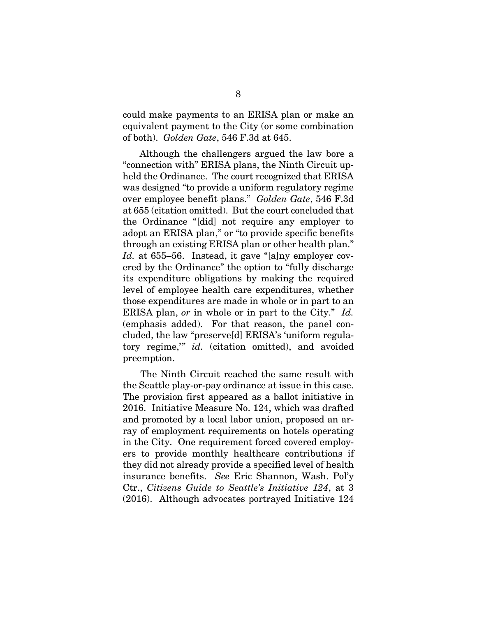could make payments to an ERISA plan or make an equivalent payment to the City (or some combination of both). *Golden Gate*, 546 F.3d at 645.

Although the challengers argued the law bore a "connection with" ERISA plans, the Ninth Circuit upheld the Ordinance. The court recognized that ERISA was designed "to provide a uniform regulatory regime over employee benefit plans." *Golden Gate*, 546 F.3d at 655 (citation omitted). But the court concluded that the Ordinance "[did] not require any employer to adopt an ERISA plan," or "to provide specific benefits through an existing ERISA plan or other health plan." *Id.* at 655–56. Instead, it gave "[a]ny employer covered by the Ordinance" the option to "fully discharge its expenditure obligations by making the required level of employee health care expenditures, whether those expenditures are made in whole or in part to an ERISA plan, *or* in whole or in part to the City." *Id.* (emphasis added). For that reason, the panel concluded, the law "preserve[d] ERISA's 'uniform regulatory regime,'" *id.* (citation omitted), and avoided preemption.

The Ninth Circuit reached the same result with the Seattle play-or-pay ordinance at issue in this case. The provision first appeared as a ballot initiative in 2016. Initiative Measure No. 124, which was drafted and promoted by a local labor union, proposed an array of employment requirements on hotels operating in the City. One requirement forced covered employers to provide monthly healthcare contributions if they did not already provide a specified level of health insurance benefits. *See* Eric Shannon, Wash. Pol'y Ctr., *Citizens Guide to Seattle's Initiative 124*, at 3 (2016). Although advocates portrayed Initiative 124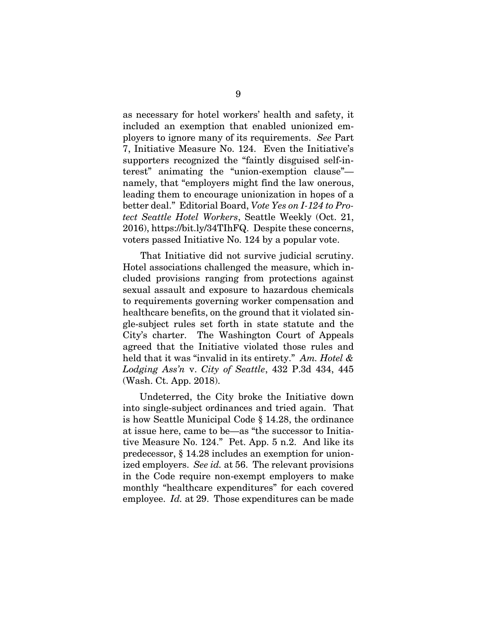as necessary for hotel workers' health and safety, it included an exemption that enabled unionized employers to ignore many of its requirements. *See* Part 7, Initiative Measure No. 124. Even the Initiative's supporters recognized the "faintly disguised self-interest" animating the "union-exemption clause" namely, that "employers might find the law onerous, leading them to encourage unionization in hopes of a better deal." Editorial Board, *Vote Yes on I-124 to Protect Seattle Hotel Workers*, Seattle Weekly (Oct. 21, 2016), https://bit.ly/34TIhFQ. Despite these concerns, voters passed Initiative No. 124 by a popular vote.

That Initiative did not survive judicial scrutiny. Hotel associations challenged the measure, which included provisions ranging from protections against sexual assault and exposure to hazardous chemicals to requirements governing worker compensation and healthcare benefits, on the ground that it violated single-subject rules set forth in state statute and the City's charter. The Washington Court of Appeals agreed that the Initiative violated those rules and held that it was "invalid in its entirety." *Am. Hotel & Lodging Ass'n* v. *City of Seattle*, 432 P.3d 434, 445 (Wash. Ct. App. 2018).

Undeterred, the City broke the Initiative down into single-subject ordinances and tried again. That is how Seattle Municipal Code § 14.28, the ordinance at issue here, came to be—as "the successor to Initiative Measure No. 124." Pet. App. 5 n.2. And like its predecessor, § 14.28 includes an exemption for unionized employers. *See id.* at 56. The relevant provisions in the Code require non-exempt employers to make monthly "healthcare expenditures" for each covered employee. *Id.* at 29. Those expenditures can be made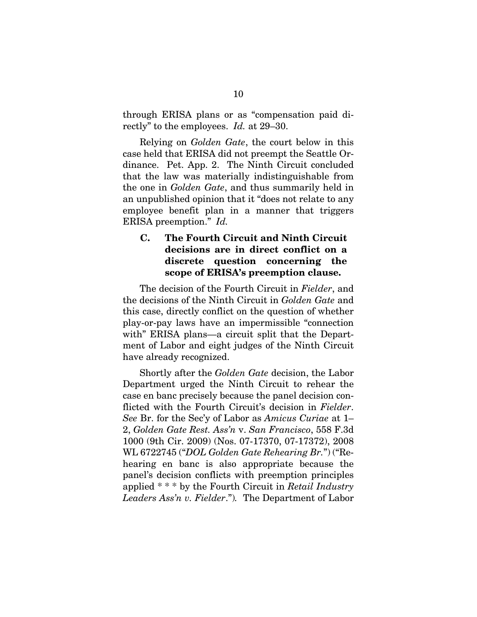through ERISA plans or as "compensation paid directly" to the employees. *Id.* at 29–30.

Relying on *Golden Gate*, the court below in this case held that ERISA did not preempt the Seattle Ordinance. Pet. App. 2. The Ninth Circuit concluded that the law was materially indistinguishable from the one in *Golden Gate*, and thus summarily held in an unpublished opinion that it "does not relate to any employee benefit plan in a manner that triggers ERISA preemption." *Id.*

#### **C. The Fourth Circuit and Ninth Circuit decisions are in direct conflict on a discrete question concerning the scope of ERISA's preemption clause.**

The decision of the Fourth Circuit in *Fielder*, and the decisions of the Ninth Circuit in *Golden Gate* and this case, directly conflict on the question of whether play-or-pay laws have an impermissible "connection with" ERISA plans—a circuit split that the Department of Labor and eight judges of the Ninth Circuit have already recognized.

Shortly after the *Golden Gate* decision, the Labor Department urged the Ninth Circuit to rehear the case en banc precisely because the panel decision conflicted with the Fourth Circuit's decision in *Fielder*. *See* Br. for the Sec'y of Labor as *Amicus Curiae* at 1– 2, *Golden Gate Rest. Ass'n* v. *San Francisco*, 558 F.3d 1000 (9th Cir. 2009) (Nos. 07-17370, 07-17372), 2008 WL 6722745 ("*DOL Golden Gate Rehearing Br.*") ("Rehearing en banc is also appropriate because the panel's decision conflicts with preemption principles applied \* \* \* by the Fourth Circuit in *Retail Industry Leaders Ass'n v. Fielder*.")*.* The Department of Labor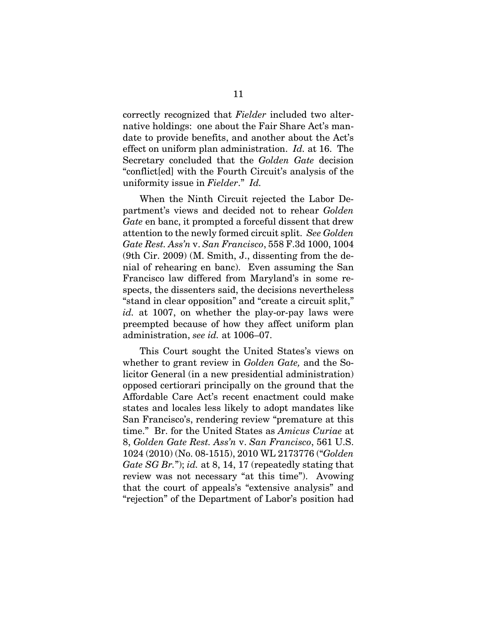correctly recognized that *Fielder* included two alternative holdings: one about the Fair Share Act's mandate to provide benefits, and another about the Act's effect on uniform plan administration. *Id.* at 16. The Secretary concluded that the *Golden Gate* decision "conflict[ed] with the Fourth Circuit's analysis of the uniformity issue in *Fielder*." *Id.*

When the Ninth Circuit rejected the Labor Department's views and decided not to rehear *Golden Gate* en banc, it prompted a forceful dissent that drew attention to the newly formed circuit split. *See Golden Gate Rest. Ass'n* v. *San Francisco*, 558 F.3d 1000, 1004 (9th Cir. 2009) (M. Smith, J., dissenting from the denial of rehearing en banc). Even assuming the San Francisco law differed from Maryland's in some respects, the dissenters said, the decisions nevertheless "stand in clear opposition" and "create a circuit split," *id.* at 1007, on whether the play-or-pay laws were preempted because of how they affect uniform plan administration, *see id.* at 1006–07.

This Court sought the United States's views on whether to grant review in *Golden Gate,* and the Solicitor General (in a new presidential administration) opposed certiorari principally on the ground that the Affordable Care Act's recent enactment could make states and locales less likely to adopt mandates like San Francisco's, rendering review "premature at this time." Br. for the United States as *Amicus Curiae* at 8, *Golden Gate Rest. Ass'n* v. *San Francisco*, 561 U.S. 1024 (2010) (No. 08-1515), 2010 WL 2173776 ("*Golden Gate SG Br.*"); *id.* at 8, 14, 17 (repeatedly stating that review was not necessary "at this time"). Avowing that the court of appeals's "extensive analysis" and "rejection" of the Department of Labor's position had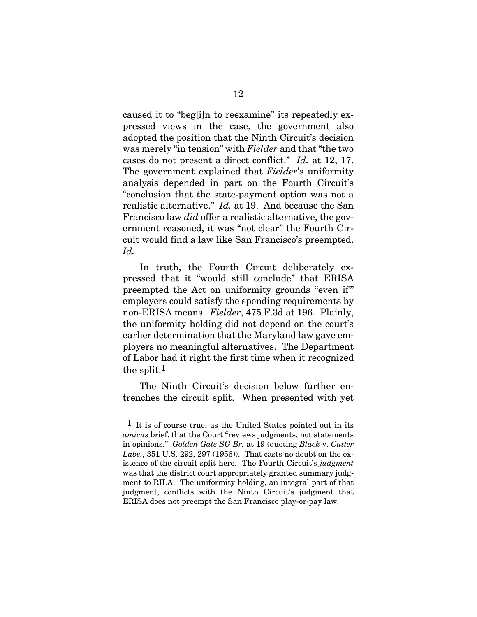caused it to "beg[i]n to reexamine" its repeatedly expressed views in the case, the government also adopted the position that the Ninth Circuit's decision was merely "in tension" with *Fielder* and that "the two cases do not present a direct conflict." *Id.* at 12, 17. The government explained that *Fielder*'s uniformity analysis depended in part on the Fourth Circuit's "conclusion that the state-payment option was not a realistic alternative." *Id.* at 19. And because the San Francisco law *did* offer a realistic alternative, the government reasoned, it was "not clear" the Fourth Circuit would find a law like San Francisco's preempted. *Id.*

In truth, the Fourth Circuit deliberately expressed that it "would still conclude" that ERISA preempted the Act on uniformity grounds "even if  " employers could satisfy the spending requirements by non-ERISA means. *Fielder*, 475 F.3d at 196. Plainly, the uniformity holding did not depend on the court's earlier determination that the Maryland law gave employers no meaningful alternatives. The Department of Labor had it right the first time when it recognized the split.1

The Ninth Circuit's decision below further entrenches the circuit split. When presented with yet

l

 $<sup>1</sup>$  It is of course true, as the United States pointed out in its</sup> *amicus* brief, that the Court "reviews judgments, not statements in opinions." *Golden Gate SG Br.* at 19 (quoting *Black* v. *Cutter Labs.*, 351 U.S. 292, 297 (1956)). That casts no doubt on the existence of the circuit split here. The Fourth Circuit's *judgment*  was that the district court appropriately granted summary judgment to RILA. The uniformity holding, an integral part of that judgment, conflicts with the Ninth Circuit's judgment that ERISA does not preempt the San Francisco play-or-pay law.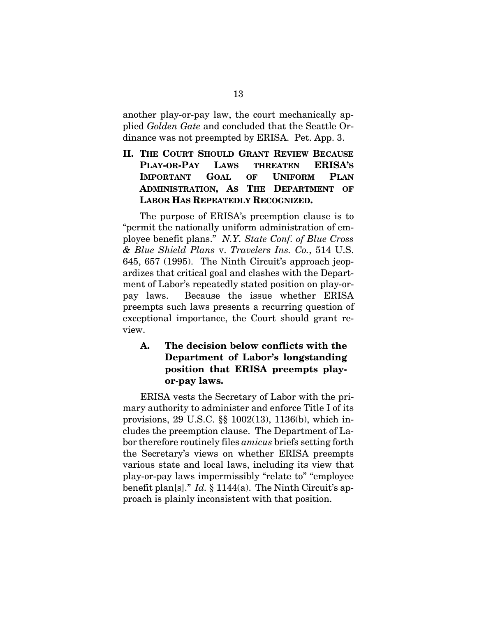another play-or-pay law, the court mechanically applied *Golden Gate* and concluded that the Seattle Ordinance was not preempted by ERISA. Pet. App. 3.

**II. THE COURT SHOULD GRANT REVIEW BECAUSE PLAY-OR-PAY LAWS THREATEN ERISA'S IMPORTANT GOAL OF UNIFORM PLAN ADMINISTRATION, AS THE DEPARTMENT OF LABOR HAS REPEATEDLY RECOGNIZED.** 

The purpose of ERISA's preemption clause is to "permit the nationally uniform administration of employee benefit plans." *N.Y. State Conf. of Blue Cross & Blue Shield Plans* v. *Travelers Ins. Co.*, 514 U.S. 645, 657 (1995). The Ninth Circuit's approach jeopardizes that critical goal and clashes with the Department of Labor's repeatedly stated position on play-orpay laws. Because the issue whether ERISA preempts such laws presents a recurring question of exceptional importance, the Court should grant review.

## **A. The decision below conflicts with the Department of Labor's longstanding position that ERISA preempts playor-pay laws.**

ERISA vests the Secretary of Labor with the primary authority to administer and enforce Title I of its provisions, 29 U.S.C. §§ 1002(13), 1136(b), which includes the preemption clause. The Department of Labor therefore routinely files *amicus* briefs setting forth the Secretary's views on whether ERISA preempts various state and local laws, including its view that play-or-pay laws impermissibly "relate to" "employee benefit plan[s]." *Id.* § 1144(a). The Ninth Circuit's approach is plainly inconsistent with that position.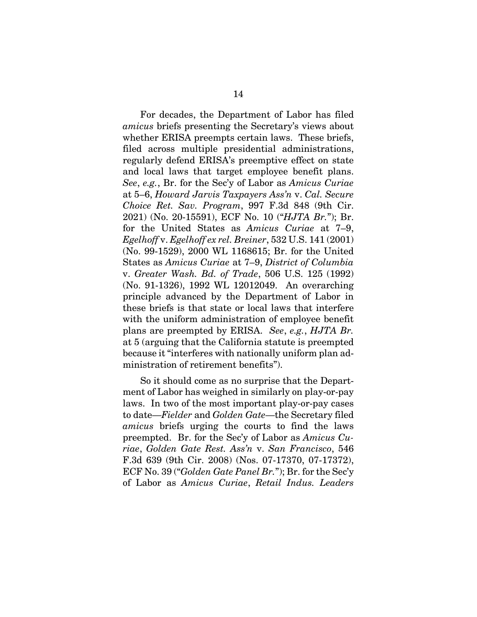For decades, the Department of Labor has filed *amicus* briefs presenting the Secretary's views about whether ERISA preempts certain laws. These briefs, filed across multiple presidential administrations, regularly defend ERISA's preemptive effect on state and local laws that target employee benefit plans. *See*, *e.g.*, Br. for the Sec'y of Labor as *Amicus Curiae* at 5–6, *Howard Jarvis Taxpayers Ass'n* v. *Cal. Secure Choice Ret. Sav. Program*, 997 F.3d 848 (9th Cir. 2021) (No. 20-15591), ECF No. 10 ("*HJTA Br.*"); Br. for the United States as *Amicus Curiae* at 7–9, *Egelhoff* v. *Egelhoff ex rel. Breiner*, 532 U.S. 141 (2001) (No. 99-1529), 2000 WL 1168615; Br. for the United States as *Amicus Curiae* at 7–9, *District of Columbia* v. *Greater Wash. Bd. of Trade*, 506 U.S. 125 (1992) (No. 91-1326), 1992 WL 12012049. An overarching principle advanced by the Department of Labor in these briefs is that state or local laws that interfere with the uniform administration of employee benefit plans are preempted by ERISA. *See*, *e.g.*, *HJTA Br.* at 5 (arguing that the California statute is preempted because it "interferes with nationally uniform plan administration of retirement benefits").

So it should come as no surprise that the Department of Labor has weighed in similarly on play-or-pay laws. In two of the most important play-or-pay cases to date—*Fielder* and *Golden Gate*—the Secretary filed *amicus* briefs urging the courts to find the laws preempted. Br. for the Sec'y of Labor as *Amicus Curiae*, *Golden Gate Rest. Ass'n* v. *San Francisco*, 546 F.3d 639 (9th Cir. 2008) (Nos. 07-17370, 07-17372), ECF No. 39 ("*Golden Gate Panel Br.*"); Br. for the Sec'y of Labor as *Amicus Curiae*, *Retail Indus. Leaders*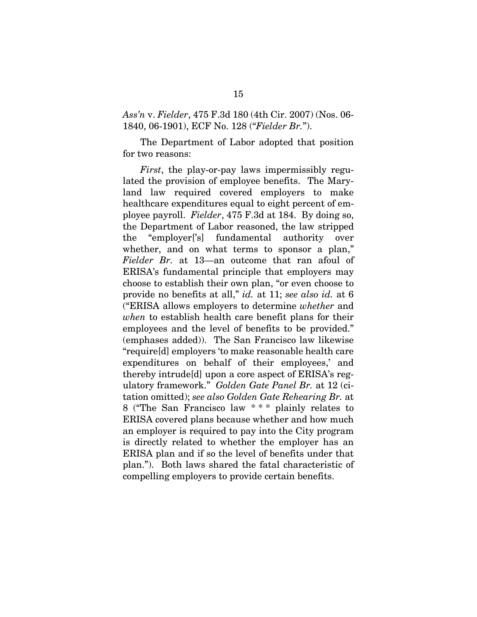*Ass'n* v. *Fielder*, 475 F.3d 180 (4th Cir. 2007) (Nos. 06- 1840, 06-1901), ECF No. 128 ("*Fielder Br.*").

The Department of Labor adopted that position for two reasons:

*First*, the play-or-pay laws impermissibly regulated the provision of employee benefits. The Maryland law required covered employers to make healthcare expenditures equal to eight percent of employee payroll. *Fielder*, 475 F.3d at 184. By doing so, the Department of Labor reasoned, the law stripped the "employer['s] fundamental authority over whether, and on what terms to sponsor a plan," *Fielder Br.* at 13—an outcome that ran afoul of ERISA's fundamental principle that employers may choose to establish their own plan, "or even choose to provide no benefits at all," *id.* at 11; *see also id.* at 6 ("ERISA allows employers to determine *whether* and *when* to establish health care benefit plans for their employees and the level of benefits to be provided." (emphases added)). The San Francisco law likewise "require[d] employers 'to make reasonable health care expenditures on behalf of their employees,' and thereby intrude[d] upon a core aspect of ERISA's regulatory framework." *Golden Gate Panel Br.* at 12 (citation omitted); *see also Golden Gate Rehearing Br.* at 8 ("The San Francisco law \* \* \* plainly relates to ERISA covered plans because whether and how much an employer is required to pay into the City program is directly related to whether the employer has an ERISA plan and if so the level of benefits under that plan."). Both laws shared the fatal characteristic of compelling employers to provide certain benefits.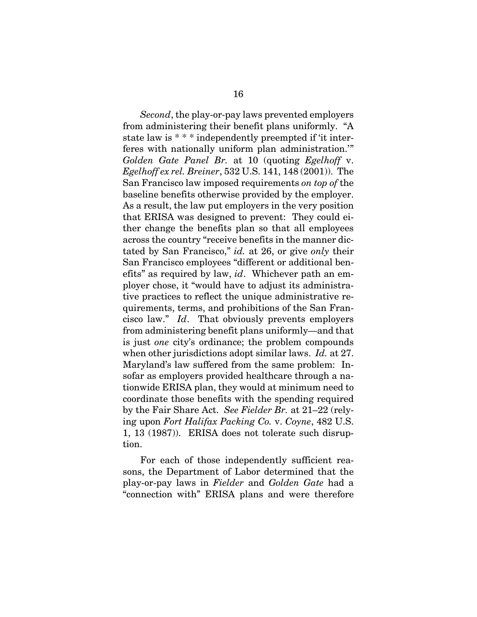*Second*, the play-or-pay laws prevented employers from administering their benefit plans uniformly. "A state law is \* \* \* independently preempted if 'it interferes with nationally uniform plan administration.'" *Golden Gate Panel Br.* at 10 (quoting *Egelhoff* v. *Egelhoff ex rel. Breiner*, 532 U.S. 141, 148 (2001)). The San Francisco law imposed requirements *on top of* the baseline benefits otherwise provided by the employer. As a result, the law put employers in the very position that ERISA was designed to prevent: They could either change the benefits plan so that all employees across the country "receive benefits in the manner dictated by San Francisco," *id.* at 26, or give *only* their San Francisco employees "different or additional benefits" as required by law, *id*. Whichever path an employer chose, it "would have to adjust its administrative practices to reflect the unique administrative requirements, terms, and prohibitions of the San Francisco law." *Id*. That obviously prevents employers from administering benefit plans uniformly—and that is just *one* city's ordinance; the problem compounds when other jurisdictions adopt similar laws. *Id.* at 27. Maryland's law suffered from the same problem: Insofar as employers provided healthcare through a nationwide ERISA plan, they would at minimum need to coordinate those benefits with the spending required by the Fair Share Act. *See Fielder Br.* at 21–22 (relying upon *Fort Halifax Packing Co.* v. *Coyne*, 482 U.S. 1, 13 (1987)). ERISA does not tolerate such disruption.

For each of those independently sufficient reasons, the Department of Labor determined that the play-or-pay laws in *Fielder* and *Golden Gate* had a "connection with" ERISA plans and were therefore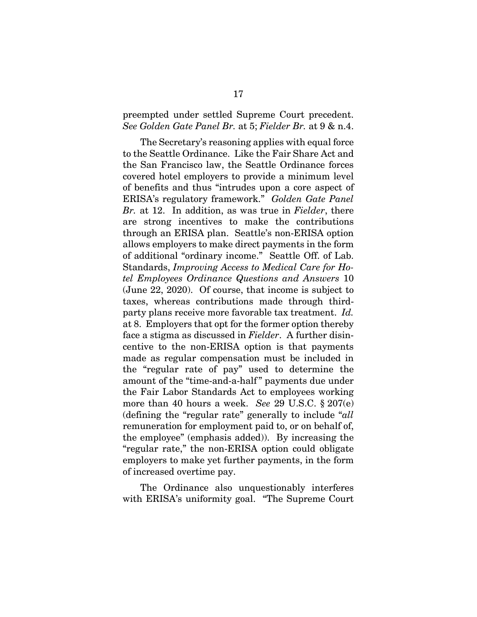#### preempted under settled Supreme Court precedent. *See Golden Gate Panel Br.* at 5; *Fielder Br.* at 9 & n.4.

The Secretary's reasoning applies with equal force to the Seattle Ordinance. Like the Fair Share Act and the San Francisco law, the Seattle Ordinance forces covered hotel employers to provide a minimum level of benefits and thus "intrudes upon a core aspect of ERISA's regulatory framework." *Golden Gate Panel Br.* at 12. In addition, as was true in *Fielder*, there are strong incentives to make the contributions through an ERISA plan. Seattle's non-ERISA option allows employers to make direct payments in the form of additional "ordinary income." Seattle Off. of Lab. Standards, *Improving Access to Medical Care for Hotel Employees Ordinance Questions and Answers* 10 (June 22, 2020). Of course, that income is subject to taxes, whereas contributions made through thirdparty plans receive more favorable tax treatment. *Id.*  at 8. Employers that opt for the former option thereby face a stigma as discussed in *Fielder*. A further disincentive to the non-ERISA option is that payments made as regular compensation must be included in the "regular rate of pay" used to determine the amount of the "time-and-a-half  " payments due under the Fair Labor Standards Act to employees working more than 40 hours a week. *See* 29 U.S.C. § 207(e) (defining the "regular rate" generally to include "*all* remuneration for employment paid to, or on behalf of, the employee" (emphasis added)). By increasing the "regular rate," the non-ERISA option could obligate employers to make yet further payments, in the form of increased overtime pay.

The Ordinance also unquestionably interferes with ERISA's uniformity goal. "The Supreme Court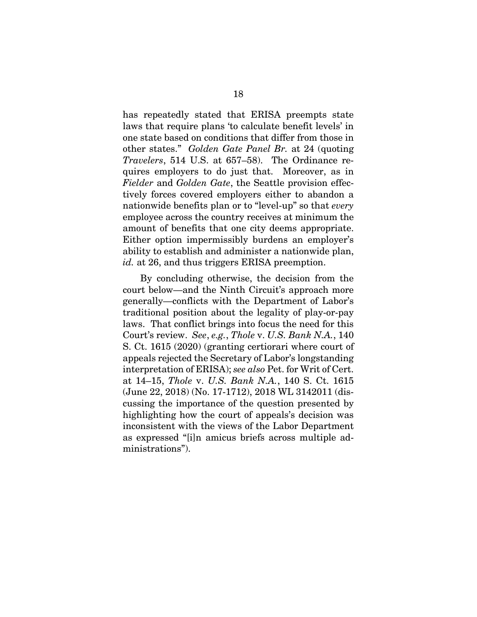has repeatedly stated that ERISA preempts state laws that require plans 'to calculate benefit levels' in one state based on conditions that differ from those in other states." *Golden Gate Panel Br.* at 24 (quoting *Travelers*, 514 U.S. at 657–58). The Ordinance requires employers to do just that. Moreover, as in *Fielder* and *Golden Gate*, the Seattle provision effectively forces covered employers either to abandon a nationwide benefits plan or to "level-up" so that *every*  employee across the country receives at minimum the amount of benefits that one city deems appropriate. Either option impermissibly burdens an employer's ability to establish and administer a nationwide plan, *id.* at 26, and thus triggers ERISA preemption.

By concluding otherwise, the decision from the court below—and the Ninth Circuit's approach more generally—conflicts with the Department of Labor's traditional position about the legality of play-or-pay laws. That conflict brings into focus the need for this Court's review. *See*, *e.g.*, *Thole* v. *U.S. Bank N.A.*, 140 S. Ct. 1615 (2020) (granting certiorari where court of appeals rejected the Secretary of Labor's longstanding interpretation of ERISA); *see also* Pet. for Writ of Cert. at 14–15, *Thole* v. *U.S. Bank N.A.*, 140 S. Ct. 1615 (June 22, 2018) (No. 17-1712), 2018 WL 3142011 (discussing the importance of the question presented by highlighting how the court of appeals's decision was inconsistent with the views of the Labor Department as expressed "[i]n amicus briefs across multiple administrations").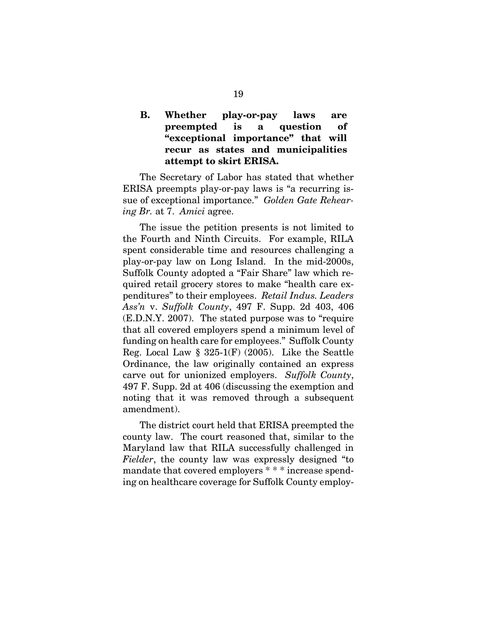## **B. Whether play-or-pay laws are preempted is a question of "exceptional importance" that will recur as states and municipalities attempt to skirt ERISA.**

The Secretary of Labor has stated that whether ERISA preempts play-or-pay laws is "a recurring issue of exceptional importance." *Golden Gate Rehearing Br.* at 7. *Amici* agree.

The issue the petition presents is not limited to the Fourth and Ninth Circuits. For example, RILA spent considerable time and resources challenging a play-or-pay law on Long Island. In the mid-2000s, Suffolk County adopted a "Fair Share" law which required retail grocery stores to make "health care expenditures" to their employees. *Retail Indus. Leaders Ass'n* v. *Suffolk County*, 497 F. Supp. 2d 403, 406 (E.D.N.Y. 2007). The stated purpose was to "require that all covered employers spend a minimum level of funding on health care for employees." Suffolk County Reg. Local Law  $\S 325-1(F)$  (2005). Like the Seattle Ordinance, the law originally contained an express carve out for unionized employers. *Suffolk County*, 497 F. Supp. 2d at 406 (discussing the exemption and noting that it was removed through a subsequent amendment).

The district court held that ERISA preempted the county law. The court reasoned that, similar to the Maryland law that RILA successfully challenged in *Fielder*, the county law was expressly designed "to mandate that covered employers \* \* \* increase spending on healthcare coverage for Suffolk County employ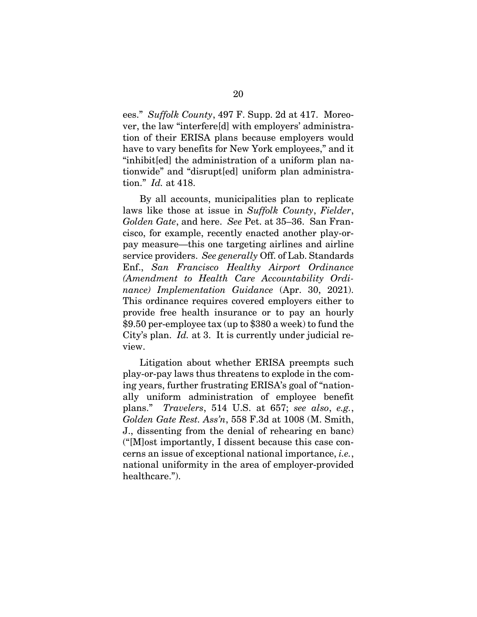ees." *Suffolk County*, 497 F. Supp. 2d at 417. Moreover, the law "interfere[d] with employers' administration of their ERISA plans because employers would have to vary benefits for New York employees," and it "inhibit[ed] the administration of a uniform plan nationwide" and "disrupt[ed] uniform plan administration." *Id.* at 418.

By all accounts, municipalities plan to replicate laws like those at issue in *Suffolk County*, *Fielder*, *Golden Gate*, and here. *See* Pet. at 35–36. San Francisco, for example, recently enacted another play-orpay measure—this one targeting airlines and airline service providers. *See generally* Off. of Lab. Standards Enf., *San Francisco Healthy Airport Ordinance (Amendment to Health Care Accountability Ordinance) Implementation Guidance* (Apr. 30, 2021). This ordinance requires covered employers either to provide free health insurance or to pay an hourly \$9.50 per-employee tax (up to \$380 a week) to fund the City's plan. *Id.* at 3. It is currently under judicial review.

Litigation about whether ERISA preempts such play-or-pay laws thus threatens to explode in the coming years, further frustrating ERISA's goal of "nationally uniform administration of employee benefit plans." *Travelers*, 514 U.S. at 657; *see also*, *e.g.*, *Golden Gate Rest. Ass'n*, 558 F.3d at 1008 (M. Smith, J., dissenting from the denial of rehearing en banc) ("[M]ost importantly, I dissent because this case concerns an issue of exceptional national importance, *i.e.*, national uniformity in the area of employer-provided healthcare.").